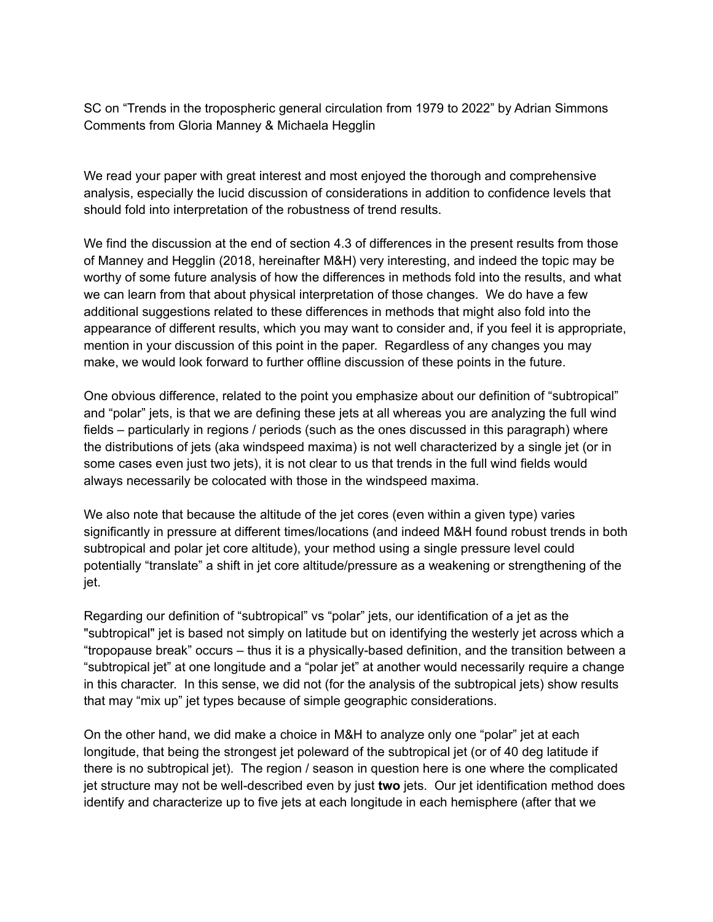SC on "Trends in the tropospheric general circulation from 1979 to 2022" by Adrian Simmons Comments from Gloria Manney & Michaela Hegglin

We read your paper with great interest and most enjoyed the thorough and comprehensive analysis, especially the lucid discussion of considerations in addition to confidence levels that should fold into interpretation of the robustness of trend results.

We find the discussion at the end of section 4.3 of differences in the present results from those of Manney and Hegglin (2018, hereinafter M&H) very interesting, and indeed the topic may be worthy of some future analysis of how the differences in methods fold into the results, and what we can learn from that about physical interpretation of those changes. We do have a few additional suggestions related to these differences in methods that might also fold into the appearance of different results, which you may want to consider and, if you feel it is appropriate, mention in your discussion of this point in the paper. Regardless of any changes you may make, we would look forward to further offline discussion of these points in the future.

One obvious difference, related to the point you emphasize about our definition of "subtropical" and "polar" jets, is that we are defining these jets at all whereas you are analyzing the full wind fields – particularly in regions / periods (such as the ones discussed in this paragraph) where the distributions of jets (aka windspeed maxima) is not well characterized by a single jet (or in some cases even just two jets), it is not clear to us that trends in the full wind fields would always necessarily be colocated with those in the windspeed maxima.

We also note that because the altitude of the jet cores (even within a given type) varies significantly in pressure at different times/locations (and indeed M&H found robust trends in both subtropical and polar jet core altitude), your method using a single pressure level could potentially "translate" a shift in jet core altitude/pressure as a weakening or strengthening of the jet.

Regarding our definition of "subtropical" vs "polar" jets, our identification of a jet as the "subtropical" jet is based not simply on latitude but on identifying the westerly jet across which a "tropopause break" occurs – thus it is a physically-based definition, and the transition between a "subtropical jet" at one longitude and a "polar jet" at another would necessarily require a change in this character. In this sense, we did not (for the analysis of the subtropical jets) show results that may "mix up" jet types because of simple geographic considerations.

On the other hand, we did make a choice in M&H to analyze only one "polar" jet at each longitude, that being the strongest jet poleward of the subtropical jet (or of 40 deg latitude if there is no subtropical jet). The region / season in question here is one where the complicated jet structure may not be well-described even by just **two** jets. Our jet identification method does identify and characterize up to five jets at each longitude in each hemisphere (after that we